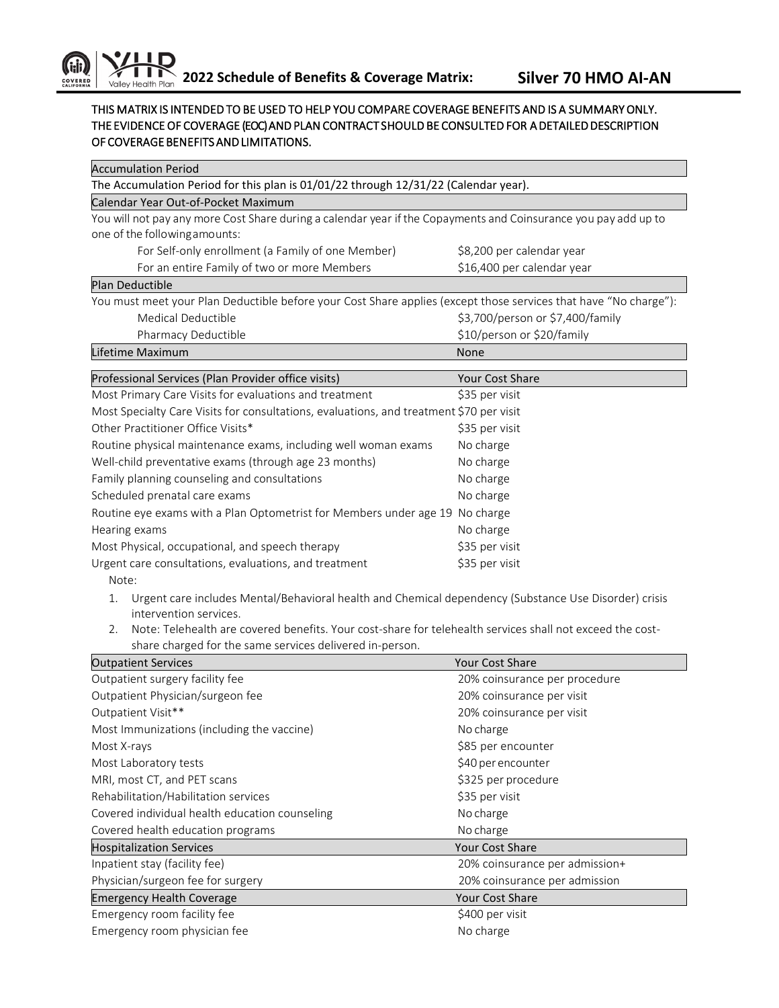## THIS MATRIX IS INTENDED TO BE USED TO HELP YOU COMPARE COVERAGE BENEFITS AND IS A SUMMARY ONLY. THE EVIDENCE OF COVERAGE (EOC) AND PLAN CONTRACT SHOULD BE CONSULTED FOR A DETAILED DESCRIPTION OF COVERAGE BENEFITS AND LIMITATIONS.

| <b>Accumulation Period</b>                                                                                       |                                  |  |  |
|------------------------------------------------------------------------------------------------------------------|----------------------------------|--|--|
| The Accumulation Period for this plan is 01/01/22 through 12/31/22 (Calendar year).                              |                                  |  |  |
| Calendar Year Out-of-Pocket Maximum                                                                              |                                  |  |  |
| You will not pay any more Cost Share during a calendar year if the Copayments and Coinsurance you pay add up to  |                                  |  |  |
| one of the following amounts:                                                                                    |                                  |  |  |
| For Self-only enrollment (a Family of one Member)                                                                | \$8,200 per calendar year        |  |  |
| For an entire Family of two or more Members                                                                      | \$16,400 per calendar year       |  |  |
| Plan Deductible                                                                                                  |                                  |  |  |
| You must meet your Plan Deductible before your Cost Share applies (except those services that have "No charge"): |                                  |  |  |
| Medical Deductible                                                                                               | \$3,700/person or \$7,400/family |  |  |
| Pharmacy Deductible                                                                                              | \$10/person or \$20/family       |  |  |
| Lifetime Maximum                                                                                                 | None                             |  |  |
| Professional Services (Plan Provider office visits)                                                              | Your Cost Share                  |  |  |
| Most Primary Care Visits for evaluations and treatment                                                           | \$35 per visit                   |  |  |
| Most Specialty Care Visits for consultations, evaluations, and treatment \$70 per visit                          |                                  |  |  |
| Other Practitioner Office Visits*                                                                                | \$35 per visit                   |  |  |
| Routine physical maintenance exams, including well woman exams                                                   | No charge                        |  |  |
| Well-child preventative exams (through age 23 months)                                                            | No charge                        |  |  |
| Family planning counseling and consultations                                                                     | No charge                        |  |  |
| Scheduled prenatal care exams                                                                                    | No charge                        |  |  |
| Routine eye exams with a Plan Optometrist for Members under age 19 No charge                                     |                                  |  |  |
| Hearing exams                                                                                                    | No charge                        |  |  |
| Most Physical, occupational, and speech therapy                                                                  | \$35 per visit                   |  |  |
| Urgent care consultations, evaluations, and treatment                                                            | \$35 per visit                   |  |  |
| Note:                                                                                                            |                                  |  |  |
| Urgent care includes Mental/Behavioral health and Chemical dependency (Substance Use Disorder) crisis<br>1.      |                                  |  |  |
| intervention services.                                                                                           |                                  |  |  |
| Note: Telehealth are covered benefits. Your cost-share for telehealth services shall not exceed the cost-<br>2.  |                                  |  |  |
| share charged for the same services delivered in-person.                                                         |                                  |  |  |
| <b>Outpatient Services</b>                                                                                       | Your Cost Share                  |  |  |
| Outpatient surgery facility fee                                                                                  | 20% coinsurance per procedure    |  |  |
| Outpatient Physician/surgeon fee                                                                                 | 20% coinsurance per visit        |  |  |
| Outpatient Visit**                                                                                               | 20% coinsurance per visit        |  |  |
| Most Immunizations (including the vaccine)                                                                       | No charge                        |  |  |
| Most X-rays                                                                                                      | \$85 per encounter               |  |  |
| Most Laboratory tests                                                                                            | \$40 per encounter               |  |  |
| MRI, most CT, and PET scans                                                                                      | \$325 per procedure              |  |  |
| Rehabilitation/Habilitation services                                                                             | \$35 per visit                   |  |  |
| Covered individual health education counseling                                                                   | No charge                        |  |  |
| Covered health education programs                                                                                | No charge                        |  |  |
| <b>Hospitalization Services</b>                                                                                  | Your Cost Share                  |  |  |
| Inpatient stay (facility fee)                                                                                    | 20% coinsurance per admission+   |  |  |
| Physician/surgeon fee for surgery                                                                                | 20% coinsurance per admission    |  |  |
| <b>Emergency Health Coverage</b>                                                                                 | Your Cost Share                  |  |  |
| Emergency room facility fee                                                                                      | \$400 per visit                  |  |  |
| Emergency room physician fee                                                                                     | No charge                        |  |  |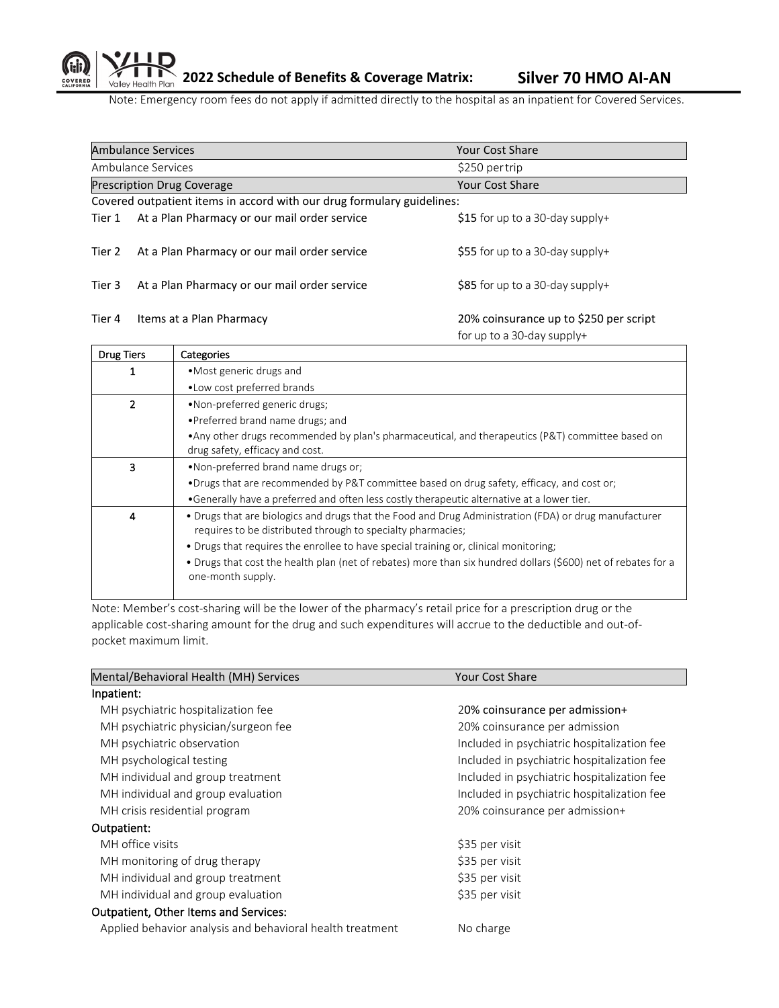Note: Emergency room fees do not apply if admitted directly to the hospital as an inpatient for Covered Services.

|                                                                        | <b>Ambulance Services</b>                    | Your Cost Share                                                      |
|------------------------------------------------------------------------|----------------------------------------------|----------------------------------------------------------------------|
|                                                                        | Ambulance Services                           | \$250 per trip                                                       |
|                                                                        | <b>Prescription Drug Coverage</b>            | <b>Your Cost Share</b>                                               |
| Covered outpatient items in accord with our drug formulary guidelines: |                                              |                                                                      |
| Tier 1                                                                 | At a Plan Pharmacy or our mail order service | \$15 for up to a 30-day supply+                                      |
| Tier 2                                                                 | At a Plan Pharmacy or our mail order service | \$55 for up to a 30-day supply+                                      |
| Tier 3                                                                 | At a Plan Pharmacy or our mail order service | $$85$ for up to a 30-day supply+                                     |
| Tier 4                                                                 | Items at a Plan Pharmacy                     | 20% coinsurance up to \$250 per script<br>for up to a 30-day supply+ |

| <b>Drug Tiers</b> | Categories                                                                                                                                                           |  |
|-------------------|----------------------------------------------------------------------------------------------------------------------------------------------------------------------|--|
|                   | • Most generic drugs and                                                                                                                                             |  |
|                   | . Low cost preferred brands                                                                                                                                          |  |
| 2                 | •Non-preferred generic drugs;                                                                                                                                        |  |
|                   | • Preferred brand name drugs; and                                                                                                                                    |  |
|                   | • Any other drugs recommended by plan's pharmaceutical, and therapeutics (P&T) committee based on<br>drug safety, efficacy and cost.                                 |  |
| 3                 | . Non-preferred brand name drugs or:                                                                                                                                 |  |
|                   | •Drugs that are recommended by P&T committee based on drug safety, efficacy, and cost or;                                                                            |  |
|                   | •Generally have a preferred and often less costly therapeutic alternative at a lower tier.                                                                           |  |
| 4                 | • Drugs that are biologics and drugs that the Food and Drug Administration (FDA) or drug manufacturer<br>requires to be distributed through to specialty pharmacies; |  |
|                   | • Drugs that requires the enrollee to have special training or, clinical monitoring;                                                                                 |  |
|                   | • Drugs that cost the health plan (net of rebates) more than six hundred dollars (\$600) net of rebates for a<br>one-month supply.                                   |  |
|                   |                                                                                                                                                                      |  |

Note: Member's cost-sharing will be the lower of the pharmacy's retail price for a prescription drug or the applicable cost-sharing amount for the drug and such expenditures will accrue to the deductible and out-ofpocket maximum limit.

| Mental/Behavioral Health (MH) Services                    | <b>Your Cost Share</b>                      |
|-----------------------------------------------------------|---------------------------------------------|
| Inpatient:                                                |                                             |
| MH psychiatric hospitalization fee                        | 20% coinsurance per admission+              |
| MH psychiatric physician/surgeon fee                      | 20% coinsurance per admission               |
| MH psychiatric observation                                | Included in psychiatric hospitalization fee |
| MH psychological testing                                  | Included in psychiatric hospitalization fee |
| MH individual and group treatment                         | Included in psychiatric hospitalization fee |
| MH individual and group evaluation                        | Included in psychiatric hospitalization fee |
| MH crisis residential program                             | 20% coinsurance per admission+              |
| Outpatient:                                               |                                             |
| MH office visits                                          | \$35 per visit                              |
| MH monitoring of drug therapy                             | \$35 per visit                              |
| MH individual and group treatment                         | \$35 per visit                              |
| MH individual and group evaluation                        | \$35 per visit                              |
| Outpatient, Other Items and Services:                     |                                             |
| Applied behavior analysis and behavioral health treatment | No charge                                   |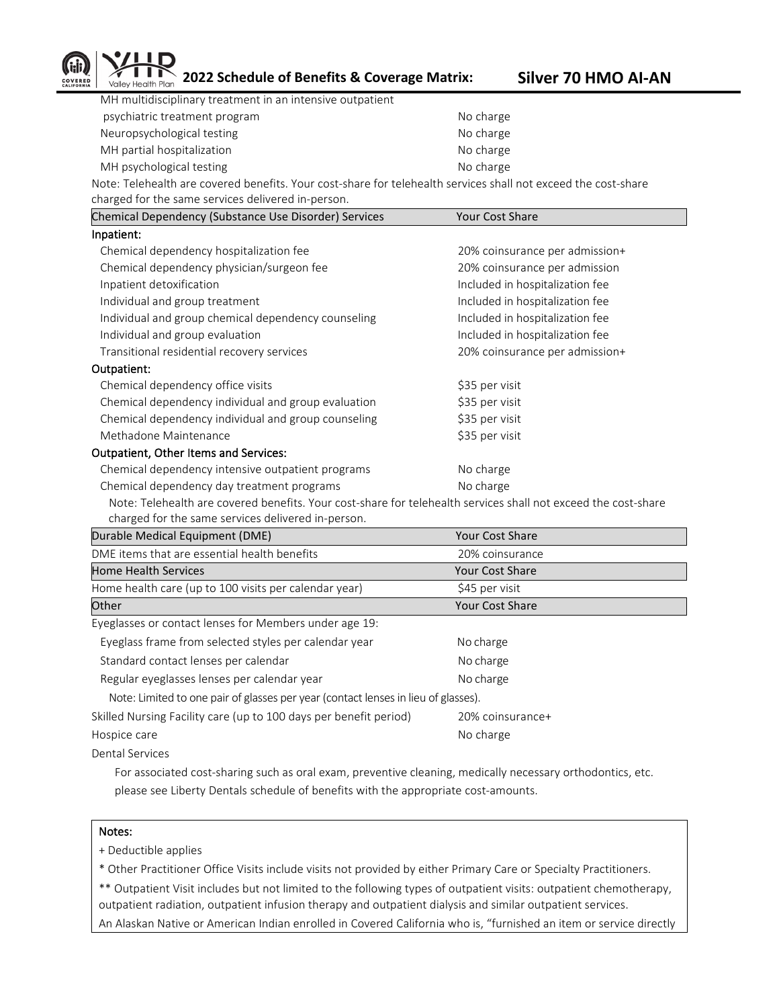

**2022 Schedule of Benefits & Coverage Matrix: Silver 70 HMO AI-AN**

| MH multidisciplinary treatment in an intensive outpatient                               |           |
|-----------------------------------------------------------------------------------------|-----------|
| psychiatric treatment program                                                           | No charge |
| Neuropsychological testing                                                              | No charge |
| MH partial hospitalization                                                              | No charge |
| MH psychological testing                                                                | No charge |
| Nata Telebesith are covered benefits. Vous east share for telebesith services shall not |           |

Note: Telehealth are covered benefits. Your cost-share for telehealth services shall not exceed the cost-share charged for the same services delivered in-person.

| Chemical Dependency (Substance Use Disorder) Services | <b>Your Cost Share</b>          |
|-------------------------------------------------------|---------------------------------|
| Inpatient:                                            |                                 |
| Chemical dependency hospitalization fee               | 20% coinsurance per admission+  |
| Chemical dependency physician/surgeon fee             | 20% coinsurance per admission   |
| Inpatient detoxification                              | Included in hospitalization fee |
| Individual and group treatment                        | Included in hospitalization fee |
| Individual and group chemical dependency counseling   | Included in hospitalization fee |
| Individual and group evaluation                       | Included in hospitalization fee |
| Transitional residential recovery services            | 20% coinsurance per admission+  |
| Outpatient:                                           |                                 |
| Chemical dependency office visits                     | \$35 per visit                  |
| Chemical dependency individual and group evaluation   | \$35 per visit                  |
| Chemical dependency individual and group counseling   | \$35 per visit                  |
| Methadone Maintenance                                 | \$35 per visit                  |
| Outpatient, Other Items and Services:                 |                                 |
| Chemical dependency intensive outpatient programs     | No charge                       |
| Chemical dependency day treatment programs            | No charge                       |
|                                                       |                                 |

Note: Telehealth are covered benefits. Your cost-share for telehealth services shall not exceed the cost-share charged for the same services delivered in-person.

| Durable Medical Equipment (DME)                                                    | Your Cost Share        |  |
|------------------------------------------------------------------------------------|------------------------|--|
| DME items that are essential health benefits                                       | 20% coinsurance        |  |
| <b>Home Health Services</b>                                                        | Your Cost Share        |  |
| Home health care (up to 100 visits per calendar year)                              | \$45 per visit         |  |
| Other                                                                              | <b>Your Cost Share</b> |  |
| Eyeglasses or contact lenses for Members under age 19:                             |                        |  |
| Eyeglass frame from selected styles per calendar year                              | No charge              |  |
| Standard contact lenses per calendar                                               | No charge              |  |
| Regular eyeglasses lenses per calendar year                                        | No charge              |  |
| Note: Limited to one pair of glasses per year (contact lenses in lieu of glasses). |                        |  |
| Skilled Nursing Facility care (up to 100 days per benefit period)                  | 20% coinsurance+       |  |
| Hospice care                                                                       | No charge              |  |

Dental Services

 For associated cost-sharing such as oral exam, preventive cleaning, medically necessary orthodontics, etc. please see Liberty Dentals schedule of benefits with the appropriate cost-amounts.

## Notes:

+ Deductible applies

\* Other Practitioner Office Visits include visits not provided by either Primary Care or Specialty Practitioners.

\*\* Outpatient Visit includes but not limited to the following types of outpatient visits: outpatient chemotherapy, outpatient radiation, outpatient infusion therapy and outpatient dialysis and similar outpatient services. An Alaskan Native or American Indian enrolled in Covered California who is, "furnished an item or service directly